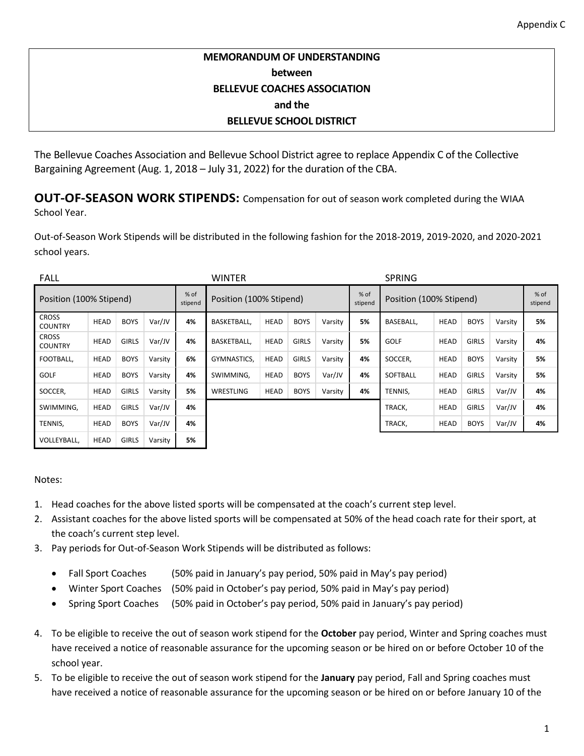## **MEMORANDUM OF UNDERSTANDING between BELLEVUE COACHES ASSOCIATION and the BELLEVUE SCHOOL DISTRICT**

The Bellevue Coaches Association and Bellevue School District agree to replace Appendix C of the Collective Bargaining Agreement (Aug. 1, 2018 – July 31, 2022) for the duration of the CBA.

**OUT-OF-SEASON WORK STIPENDS:** Compensation for out of season work completed during the WIAA School Year.

Out-of-Season Work Stipends will be distributed in the following fashion for the 2018-2019, 2019-2020, and 2020-2021 school years.

| <b>FALL</b>                    |             |              |         |                 | <b>WINTER</b>           |             |              |         |                 | <b>SPRING</b>           |             |              |         |                 |
|--------------------------------|-------------|--------------|---------|-----------------|-------------------------|-------------|--------------|---------|-----------------|-------------------------|-------------|--------------|---------|-----------------|
| Position (100% Stipend)        |             |              |         | % of<br>stipend | Position (100% Stipend) |             |              |         | % of<br>stipend | Position (100% Stipend) |             |              |         | % of<br>stipend |
| <b>CROSS</b><br><b>COUNTRY</b> | <b>HEAD</b> | <b>BOYS</b>  | Var/JV  | 4%              | <b>BASKETBALL.</b>      | <b>HEAD</b> | <b>BOYS</b>  | Varsity | 5%              | <b>BASEBALL.</b>        | <b>HEAD</b> | <b>BOYS</b>  | Varsity | 5%              |
| <b>CROSS</b><br><b>COUNTRY</b> | <b>HEAD</b> | <b>GIRLS</b> | Var/JV  | 4%              | <b>BASKETBALL.</b>      | <b>HEAD</b> | <b>GIRLS</b> | Varsity | 5%              | <b>GOLF</b>             | <b>HEAD</b> | <b>GIRLS</b> | Varsity | 4%              |
| FOOTBALL.                      | <b>HEAD</b> | <b>BOYS</b>  | Varsity | 6%              | GYMNASTICS.             | <b>HEAD</b> | <b>GIRLS</b> | Varsity | 4%              | SOCCER,                 | <b>HEAD</b> | <b>BOYS</b>  | Varsity | 5%              |
| <b>GOLF</b>                    | <b>HEAD</b> | <b>BOYS</b>  | Varsity | 4%              | SWIMMING,               | HEAD        | <b>BOYS</b>  | Var/JV  | 4%              | SOFTBALL                | <b>HEAD</b> | <b>GIRLS</b> | Varsity | 5%              |
| SOCCER,                        | <b>HEAD</b> | <b>GIRLS</b> | Varsity | 5%              | <b>WRESTLING</b>        | HEAD        | <b>BOYS</b>  | Varsity | 4%              | TENNIS.                 | <b>HEAD</b> | <b>GIRLS</b> | Var/JV  | 4%              |
| SWIMMING,                      | HEAD        | <b>GIRLS</b> | Var/JV  | 4%              |                         |             |              |         |                 | TRACK,                  | <b>HEAD</b> | <b>GIRLS</b> | Var/JV  | 4%              |
| TENNIS,                        | <b>HEAD</b> | <b>BOYS</b>  | Var/JV  | 4%              |                         |             |              |         |                 | TRACK,                  | <b>HEAD</b> | <b>BOYS</b>  | Var/JV  | 4%              |
| VOLLEYBALL.                    | <b>HEAD</b> | <b>GIRLS</b> | Varsity | 5%              |                         |             |              |         |                 |                         |             |              |         |                 |

## Notes:

- 1. Head coaches for the above listed sports will be compensated at the coach's current step level.
- 2. Assistant coaches for the above listed sports will be compensated at 50% of the head coach rate for their sport, at the coach's current step level.
- 3. Pay periods for Out-of-Season Work Stipends will be distributed as follows:
	- Fall Sport Coaches (50% paid in January's pay period, 50% paid in May's pay period)
	- Winter Sport Coaches (50% paid in October's pay period, 50% paid in May's pay period)
	- Spring Sport Coaches (50% paid in October's pay period, 50% paid in January's pay period)
- 4. To be eligible to receive the out of season work stipend for the **October** pay period, Winter and Spring coaches must have received a notice of reasonable assurance for the upcoming season or be hired on or before October 10 of the school year.
- 5. To be eligible to receive the out of season work stipend for the **January** pay period, Fall and Spring coaches must have received a notice of reasonable assurance for the upcoming season or be hired on or before January 10 of the